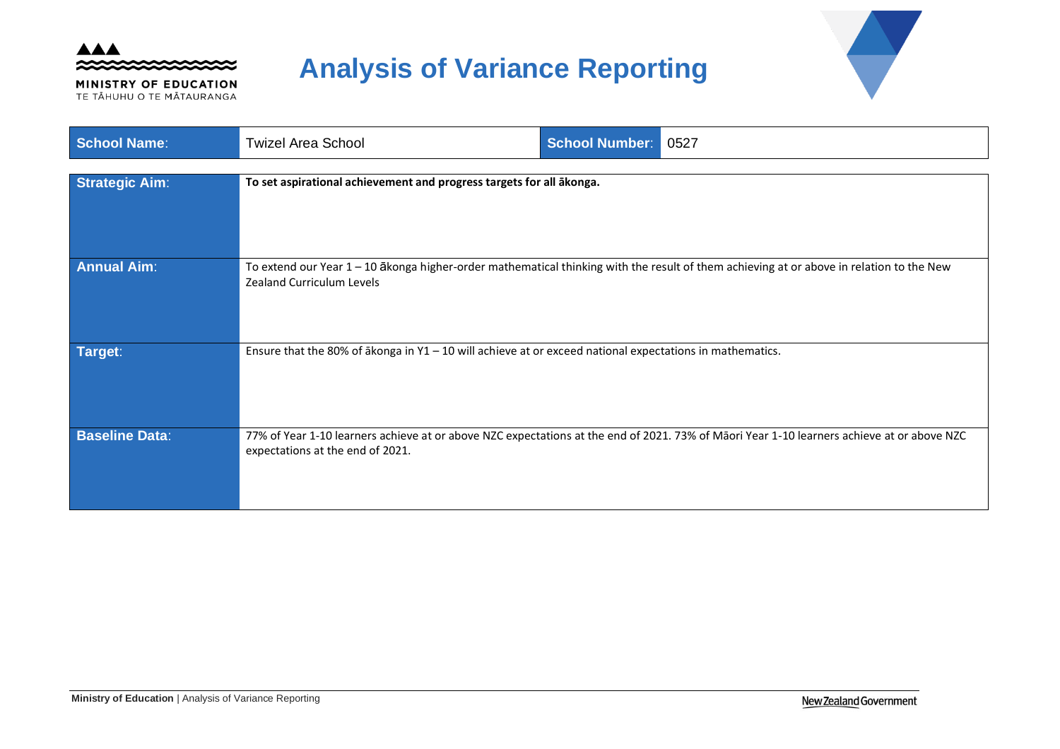

MINISTRY OF EDUCATION TE TĂHUHU O TE MĂTAURANGA

# **Analysis of Variance Reporting**



| <b>School Name:</b>   | <b>Twizel Area School</b>                                                                                                                                                    | <b>School Number:</b> | 0527                                                                                                                                       |
|-----------------------|------------------------------------------------------------------------------------------------------------------------------------------------------------------------------|-----------------------|--------------------------------------------------------------------------------------------------------------------------------------------|
| <b>Strategic Aim:</b> | To set aspirational achievement and progress targets for all ākonga.                                                                                                         |                       |                                                                                                                                            |
| <b>Annual Aim:</b>    | To extend our Year 1 - 10 ākonga higher-order mathematical thinking with the result of them achieving at or above in relation to the New<br><b>Zealand Curriculum Levels</b> |                       |                                                                                                                                            |
| Target:               | Ensure that the 80% of $\bar{a}$ konga in Y1 - 10 will achieve at or exceed national expectations in mathematics.                                                            |                       |                                                                                                                                            |
| <b>Baseline Data:</b> | expectations at the end of 2021.                                                                                                                                             |                       | 77% of Year 1-10 learners achieve at or above NZC expectations at the end of 2021. 73% of Māori Year 1-10 learners achieve at or above NZC |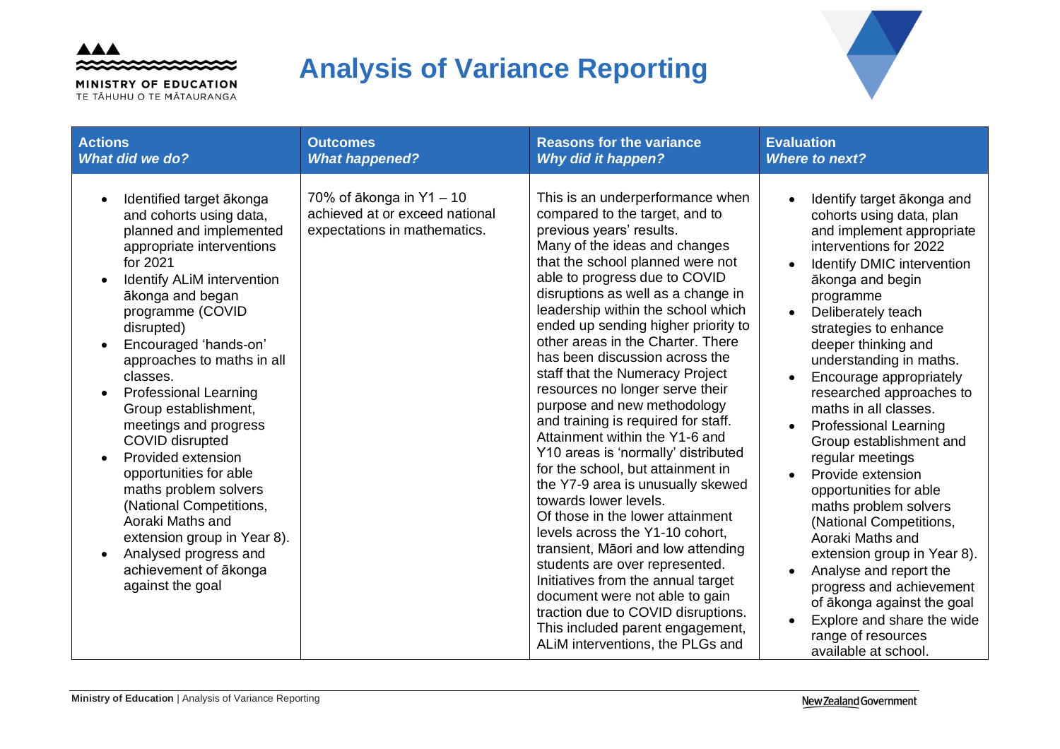

MINISTRY OF EDUCATION TE TĂHUHU O TE MĂTAURANGA

# **Analysis of Variance Reporting**



| <b>Actions</b>                                                                                                                                                                                                                                                                                                                                                                                                                                                                                                                                                                                                         | <b>Outcomes</b>                                                                            | <b>Reasons for the variance</b>                                                                                                                                                                                                                                                                                                                                                                                                                                                                                                                                                                                                                                                                                                                                                                                                                                                                                                                                                                                                                             | <b>Evaluation</b>                                                                                                                                                                                                                                                                                                                                                                                                                                                                                                                                                                                                                                                                                                                                                                      |
|------------------------------------------------------------------------------------------------------------------------------------------------------------------------------------------------------------------------------------------------------------------------------------------------------------------------------------------------------------------------------------------------------------------------------------------------------------------------------------------------------------------------------------------------------------------------------------------------------------------------|--------------------------------------------------------------------------------------------|-------------------------------------------------------------------------------------------------------------------------------------------------------------------------------------------------------------------------------------------------------------------------------------------------------------------------------------------------------------------------------------------------------------------------------------------------------------------------------------------------------------------------------------------------------------------------------------------------------------------------------------------------------------------------------------------------------------------------------------------------------------------------------------------------------------------------------------------------------------------------------------------------------------------------------------------------------------------------------------------------------------------------------------------------------------|----------------------------------------------------------------------------------------------------------------------------------------------------------------------------------------------------------------------------------------------------------------------------------------------------------------------------------------------------------------------------------------------------------------------------------------------------------------------------------------------------------------------------------------------------------------------------------------------------------------------------------------------------------------------------------------------------------------------------------------------------------------------------------------|
| <b>What did we do?</b>                                                                                                                                                                                                                                                                                                                                                                                                                                                                                                                                                                                                 | <b>What happened?</b>                                                                      | <b>Why did it happen?</b>                                                                                                                                                                                                                                                                                                                                                                                                                                                                                                                                                                                                                                                                                                                                                                                                                                                                                                                                                                                                                                   | <b>Where to next?</b>                                                                                                                                                                                                                                                                                                                                                                                                                                                                                                                                                                                                                                                                                                                                                                  |
| Identified target ākonga<br>and cohorts using data,<br>planned and implemented<br>appropriate interventions<br>for 2021<br><b>Identify ALIM intervention</b><br>ākonga and began<br>programme (COVID<br>disrupted)<br>Encouraged 'hands-on'<br>approaches to maths in all<br>classes.<br><b>Professional Learning</b><br>Group establishment,<br>meetings and progress<br>COVID disrupted<br>Provided extension<br>opportunities for able<br>maths problem solvers<br>(National Competitions,<br>Aoraki Maths and<br>extension group in Year 8).<br>Analysed progress and<br>achievement of ākonga<br>against the goal | 70% of ākonga in Y1 - 10<br>achieved at or exceed national<br>expectations in mathematics. | This is an underperformance when<br>compared to the target, and to<br>previous years' results.<br>Many of the ideas and changes<br>that the school planned were not<br>able to progress due to COVID<br>disruptions as well as a change in<br>leadership within the school which<br>ended up sending higher priority to<br>other areas in the Charter. There<br>has been discussion across the<br>staff that the Numeracy Project<br>resources no longer serve their<br>purpose and new methodology<br>and training is required for staff.<br>Attainment within the Y1-6 and<br>Y10 areas is 'normally' distributed<br>for the school, but attainment in<br>the Y7-9 area is unusually skewed<br>towards lower levels.<br>Of those in the lower attainment<br>levels across the Y1-10 cohort,<br>transient, Māori and low attending<br>students are over represented.<br>Initiatives from the annual target<br>document were not able to gain<br>traction due to COVID disruptions.<br>This included parent engagement,<br>ALIM interventions, the PLGs and | Identify target ākonga and<br>cohorts using data, plan<br>and implement appropriate<br>interventions for 2022<br><b>Identify DMIC intervention</b><br>ākonga and begin<br>programme<br>Deliberately teach<br>$\bullet$<br>strategies to enhance<br>deeper thinking and<br>understanding in maths.<br>Encourage appropriately<br>researched approaches to<br>maths in all classes.<br><b>Professional Learning</b><br>Group establishment and<br>regular meetings<br>Provide extension<br>opportunities for able<br>maths problem solvers<br>(National Competitions,<br>Aoraki Maths and<br>extension group in Year 8).<br>Analyse and report the<br>progress and achievement<br>of ākonga against the goal<br>Explore and share the wide<br>range of resources<br>available at school. |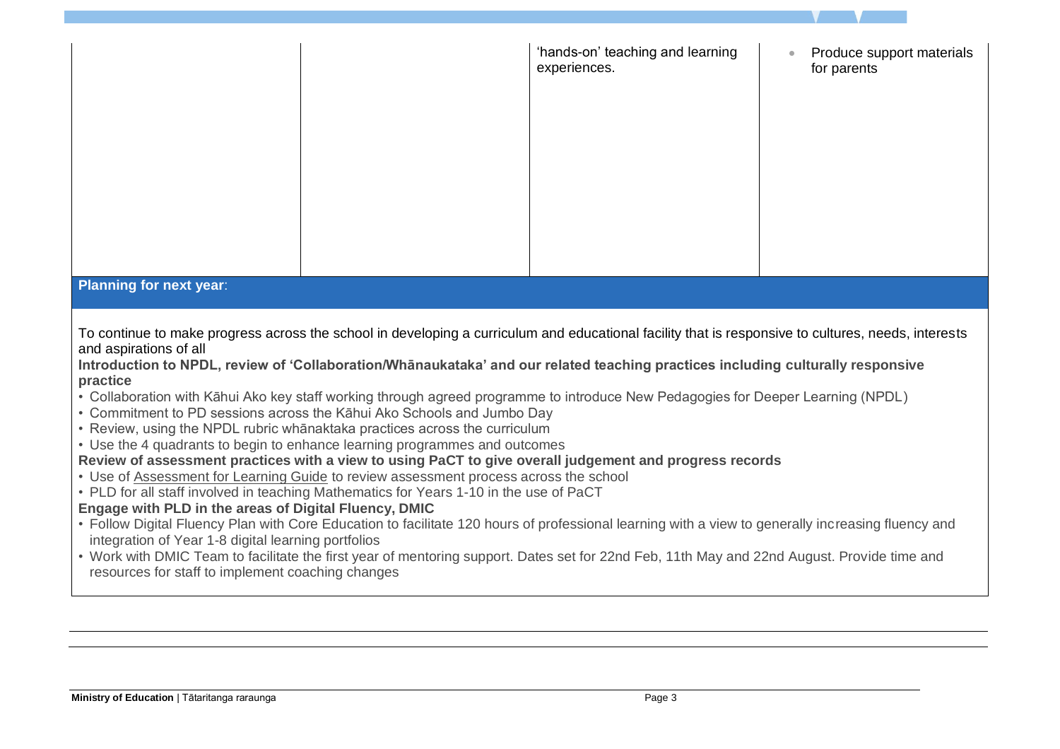|                                                                                                                                                                                                                                                                                                                                                                                                                                                                                                                                                                                                                                                                                                                                                                                                                                                                                                                                                                                                                                                                                                                                                                                                                                                                                                                                                                                                                                                                                |  | 'hands-on' teaching and learning<br>experiences. | Produce support materials<br>for parents |  |
|--------------------------------------------------------------------------------------------------------------------------------------------------------------------------------------------------------------------------------------------------------------------------------------------------------------------------------------------------------------------------------------------------------------------------------------------------------------------------------------------------------------------------------------------------------------------------------------------------------------------------------------------------------------------------------------------------------------------------------------------------------------------------------------------------------------------------------------------------------------------------------------------------------------------------------------------------------------------------------------------------------------------------------------------------------------------------------------------------------------------------------------------------------------------------------------------------------------------------------------------------------------------------------------------------------------------------------------------------------------------------------------------------------------------------------------------------------------------------------|--|--------------------------------------------------|------------------------------------------|--|
| <b>Planning for next year:</b>                                                                                                                                                                                                                                                                                                                                                                                                                                                                                                                                                                                                                                                                                                                                                                                                                                                                                                                                                                                                                                                                                                                                                                                                                                                                                                                                                                                                                                                 |  |                                                  |                                          |  |
| To continue to make progress across the school in developing a curriculum and educational facility that is responsive to cultures, needs, interests<br>and aspirations of all<br>Introduction to NPDL, review of 'Collaboration/Whanaukataka' and our related teaching practices including culturally responsive<br>practice<br>• Collaboration with Kāhui Ako key staff working through agreed programme to introduce New Pedagogies for Deeper Learning (NPDL)<br>• Commitment to PD sessions across the Kāhui Ako Schools and Jumbo Day<br>• Review, using the NPDL rubric whanaktaka practices across the curriculum<br>• Use the 4 quadrants to begin to enhance learning programmes and outcomes<br>Review of assessment practices with a view to using PaCT to give overall judgement and progress records<br>• Use of Assessment for Learning Guide to review assessment process across the school<br>• PLD for all staff involved in teaching Mathematics for Years 1-10 in the use of PaCT<br>Engage with PLD in the areas of Digital Fluency, DMIC<br>• Follow Digital Fluency Plan with Core Education to facilitate 120 hours of professional learning with a view to generally increasing fluency and<br>integration of Year 1-8 digital learning portfolios<br>• Work with DMIC Team to facilitate the first year of mentoring support. Dates set for 22nd Feb, 11th May and 22nd August. Provide time and<br>resources for staff to implement coaching changes |  |                                                  |                                          |  |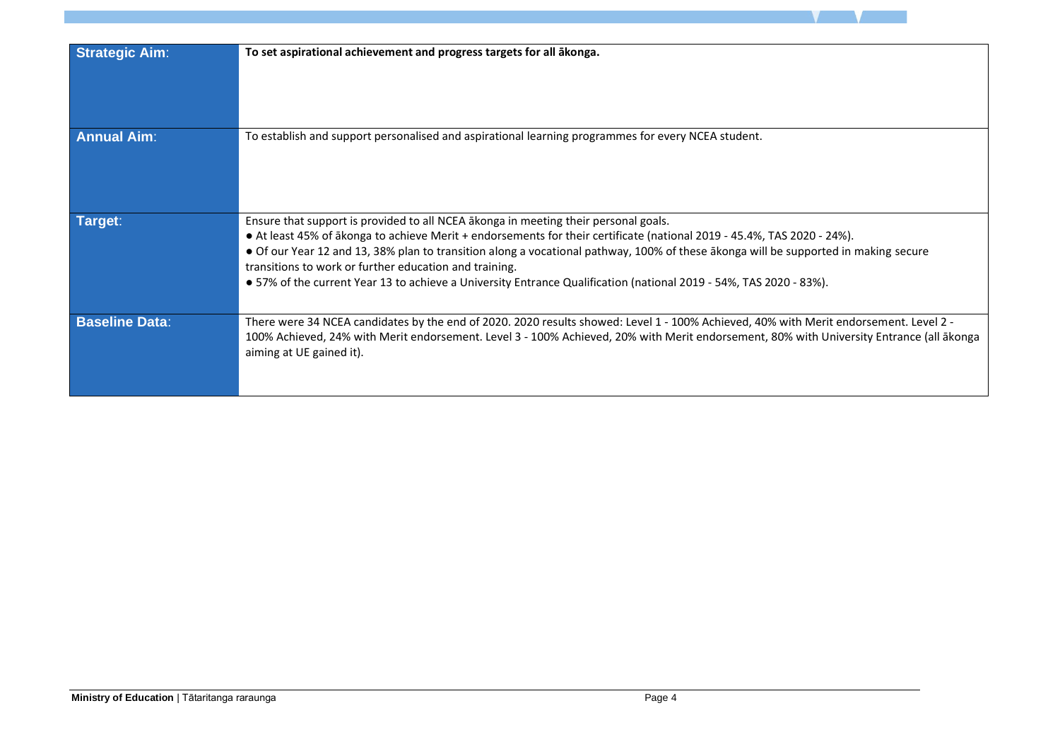| <b>Strategic Aim:</b> | To set aspirational achievement and progress targets for all ākonga.                                                                                                                                                                                                                                                                                                                                                                                                                                                                  |
|-----------------------|---------------------------------------------------------------------------------------------------------------------------------------------------------------------------------------------------------------------------------------------------------------------------------------------------------------------------------------------------------------------------------------------------------------------------------------------------------------------------------------------------------------------------------------|
| <b>Annual Aim:</b>    | To establish and support personalised and aspirational learning programmes for every NCEA student.                                                                                                                                                                                                                                                                                                                                                                                                                                    |
| Target:               | Ensure that support is provided to all NCEA akonga in meeting their personal goals.<br>• At least 45% of ākonga to achieve Merit + endorsements for their certificate (national 2019 - 45.4%, TAS 2020 - 24%).<br>• Of our Year 12 and 13, 38% plan to transition along a vocational pathway, 100% of these ākonga will be supported in making secure<br>transitions to work or further education and training.<br>• 57% of the current Year 13 to achieve a University Entrance Qualification (national 2019 - 54%, TAS 2020 - 83%). |
| <b>Baseline Data:</b> | There were 34 NCEA candidates by the end of 2020. 2020 results showed: Level 1 - 100% Achieved, 40% with Merit endorsement. Level 2 -<br>100% Achieved, 24% with Merit endorsement. Level 3 - 100% Achieved, 20% with Merit endorsement, 80% with University Entrance (all ākonga<br>aiming at UE gained it).                                                                                                                                                                                                                         |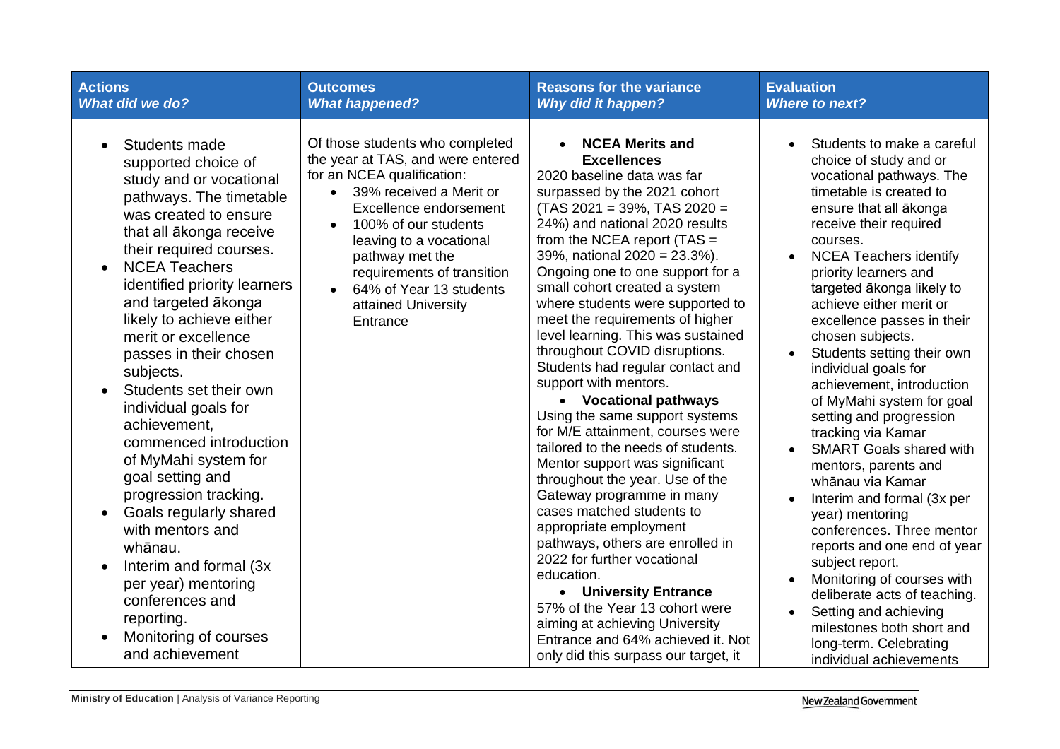| <b>Actions</b>                                                                                                                                                                                                                                                                                                                                                                                                                                                                                                                                                                                                                                                                                                                                                  | <b>Outcomes</b>                                                                                                                                                                                                                                                                                                           | <b>Reasons for the variance</b>                                                                                                                                                                                                                                                                                                                                                                                                                                                                                                                                                                                                                                                                                                                                                                                                                                                                                                                                                                                                                                                          | <b>Evaluation</b>                                                                                                                                                                                                                                                                                                                                                                                                                                                                                                                                                                                                                                                                                                                                                                                                                                                                                                                 |
|-----------------------------------------------------------------------------------------------------------------------------------------------------------------------------------------------------------------------------------------------------------------------------------------------------------------------------------------------------------------------------------------------------------------------------------------------------------------------------------------------------------------------------------------------------------------------------------------------------------------------------------------------------------------------------------------------------------------------------------------------------------------|---------------------------------------------------------------------------------------------------------------------------------------------------------------------------------------------------------------------------------------------------------------------------------------------------------------------------|------------------------------------------------------------------------------------------------------------------------------------------------------------------------------------------------------------------------------------------------------------------------------------------------------------------------------------------------------------------------------------------------------------------------------------------------------------------------------------------------------------------------------------------------------------------------------------------------------------------------------------------------------------------------------------------------------------------------------------------------------------------------------------------------------------------------------------------------------------------------------------------------------------------------------------------------------------------------------------------------------------------------------------------------------------------------------------------|-----------------------------------------------------------------------------------------------------------------------------------------------------------------------------------------------------------------------------------------------------------------------------------------------------------------------------------------------------------------------------------------------------------------------------------------------------------------------------------------------------------------------------------------------------------------------------------------------------------------------------------------------------------------------------------------------------------------------------------------------------------------------------------------------------------------------------------------------------------------------------------------------------------------------------------|
| <b>What did we do?</b>                                                                                                                                                                                                                                                                                                                                                                                                                                                                                                                                                                                                                                                                                                                                          | <b>What happened?</b>                                                                                                                                                                                                                                                                                                     | <b>Why did it happen?</b>                                                                                                                                                                                                                                                                                                                                                                                                                                                                                                                                                                                                                                                                                                                                                                                                                                                                                                                                                                                                                                                                | <b>Where to next?</b>                                                                                                                                                                                                                                                                                                                                                                                                                                                                                                                                                                                                                                                                                                                                                                                                                                                                                                             |
| Students made<br>$\bullet$<br>supported choice of<br>study and or vocational<br>pathways. The timetable<br>was created to ensure<br>that all ākonga receive<br>their required courses.<br><b>NCEA Teachers</b><br>$\bullet$<br>identified priority learners<br>and targeted ākonga<br>likely to achieve either<br>merit or excellence<br>passes in their chosen<br>subjects.<br>Students set their own<br>individual goals for<br>achievement,<br>commenced introduction<br>of MyMahi system for<br>goal setting and<br>progression tracking.<br>Goals regularly shared<br>$\bullet$<br>with mentors and<br>whānau.<br>Interim and formal (3x)<br>$\bullet$<br>per year) mentoring<br>conferences and<br>reporting.<br>Monitoring of courses<br>and achievement | Of those students who completed<br>the year at TAS, and were entered<br>for an NCEA qualification:<br>39% received a Merit or<br>Excellence endorsement<br>100% of our students<br>leaving to a vocational<br>pathway met the<br>requirements of transition<br>64% of Year 13 students<br>attained University<br>Entrance | <b>NCEA Merits and</b><br><b>Excellences</b><br>2020 baseline data was far<br>surpassed by the 2021 cohort<br>$(TAS 2021 = 39\%, TAS 2020 =$<br>24%) and national 2020 results<br>from the NCEA report $(TAS =$<br>39%, national 2020 = 23.3%).<br>Ongoing one to one support for a<br>small cohort created a system<br>where students were supported to<br>meet the requirements of higher<br>level learning. This was sustained<br>throughout COVID disruptions.<br>Students had regular contact and<br>support with mentors.<br>• Vocational pathways<br>Using the same support systems<br>for M/E attainment, courses were<br>tailored to the needs of students.<br>Mentor support was significant<br>throughout the year. Use of the<br>Gateway programme in many<br>cases matched students to<br>appropriate employment<br>pathways, others are enrolled in<br>2022 for further vocational<br>education.<br>• University Entrance<br>57% of the Year 13 cohort were<br>aiming at achieving University<br>Entrance and 64% achieved it. Not<br>only did this surpass our target, it | Students to make a careful<br>choice of study and or<br>vocational pathways. The<br>timetable is created to<br>ensure that all ākonga<br>receive their required<br>courses.<br><b>NCEA Teachers identify</b><br>$\bullet$<br>priority learners and<br>targeted ākonga likely to<br>achieve either merit or<br>excellence passes in their<br>chosen subjects.<br>Students setting their own<br>$\bullet$<br>individual goals for<br>achievement, introduction<br>of MyMahi system for goal<br>setting and progression<br>tracking via Kamar<br><b>SMART Goals shared with</b><br>mentors, parents and<br>whānau via Kamar<br>Interim and formal (3x per<br>year) mentoring<br>conferences. Three mentor<br>reports and one end of year<br>subject report.<br>Monitoring of courses with<br>deliberate acts of teaching.<br>Setting and achieving<br>milestones both short and<br>long-term. Celebrating<br>individual achievements |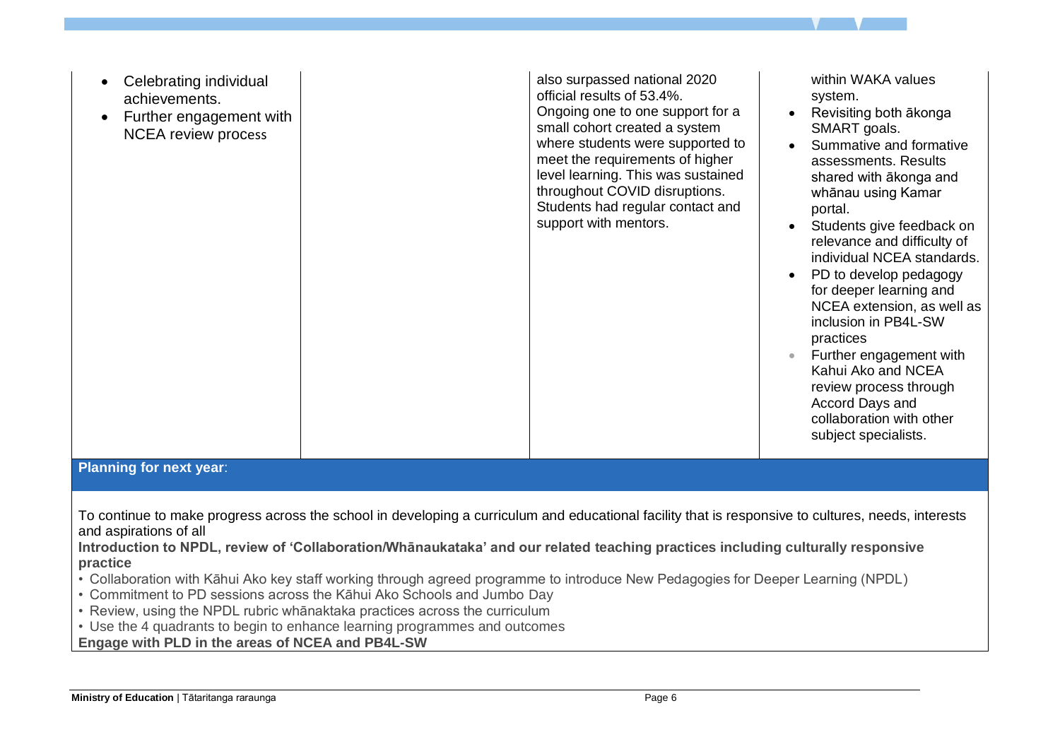| Celebrating individual<br>achievements.<br>Further engagement with<br>$\bullet$<br><b>NCEA</b> review process                                                                                                                                                                                                                                                                                                                                                                                                                                                                                                            |  | also surpassed national 2020<br>official results of 53.4%.<br>Ongoing one to one support for a<br>small cohort created a system<br>where students were supported to<br>meet the requirements of higher<br>level learning. This was sustained<br>throughout COVID disruptions.<br>Students had regular contact and<br>support with mentors. | within WAKA values<br>system.<br>Revisiting both ākonga<br>SMART goals.<br>Summative and formative<br>assessments. Results<br>shared with akonga and<br>whānau using Kamar<br>portal.<br>Students give feedback on<br>$\bullet$<br>relevance and difficulty of<br>individual NCEA standards.<br>PD to develop pedagogy<br>for deeper learning and<br>NCEA extension, as well as<br>inclusion in PB4L-SW<br>practices<br>Further engagement with<br>Kahui Ako and NCEA<br>review process through<br>Accord Days and<br>collaboration with other<br>subject specialists. |  |
|--------------------------------------------------------------------------------------------------------------------------------------------------------------------------------------------------------------------------------------------------------------------------------------------------------------------------------------------------------------------------------------------------------------------------------------------------------------------------------------------------------------------------------------------------------------------------------------------------------------------------|--|--------------------------------------------------------------------------------------------------------------------------------------------------------------------------------------------------------------------------------------------------------------------------------------------------------------------------------------------|------------------------------------------------------------------------------------------------------------------------------------------------------------------------------------------------------------------------------------------------------------------------------------------------------------------------------------------------------------------------------------------------------------------------------------------------------------------------------------------------------------------------------------------------------------------------|--|
| <b>Planning for next year:</b>                                                                                                                                                                                                                                                                                                                                                                                                                                                                                                                                                                                           |  |                                                                                                                                                                                                                                                                                                                                            |                                                                                                                                                                                                                                                                                                                                                                                                                                                                                                                                                                        |  |
| To continue to make progress across the school in developing a curriculum and educational facility that is responsive to cultures, needs, interests<br>and aspirations of all<br>Introduction to NPDL, review of 'Collaboration/Whānaukataka' and our related teaching practices including culturally responsive<br>practice<br>• Collaboration with Kāhui Ako key staff working through agreed programme to introduce New Pedagogies for Deeper Learning (NPDL)<br>• Commitment to PD sessions across the Kāhui Ako Schools and Jumbo Day<br>• Review, using the NPDL rubric whanaktaka practices across the curriculum |  |                                                                                                                                                                                                                                                                                                                                            |                                                                                                                                                                                                                                                                                                                                                                                                                                                                                                                                                                        |  |

• Use the 4 quadrants to begin to enhance learning programmes and outcomes

**Engage with PLD in the areas of NCEA and PB4L-SW**